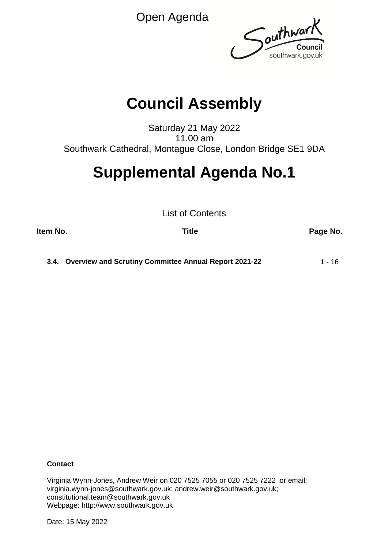Open Agenda



# **Council Assembly**

Saturday 21 May 2022 11.00 am Southwark Cathedral, Montague Close, London Bridge SE1 9DA

# **Supplemental Agenda No.1**

List of Contents

**Item No. Title Page No.**

**3.4. Overview and Scrutiny Committee Annual Report 2021-22** 1 - 16

# **Contact**

Virginia Wynn-Jones, Andrew Weir on 020 7525 7055 or 020 7525 7222 or email: virginia.wynn-jones@southwark.gov.uk; andrew.weir@southwark.gov.uk; constitutional.team@southwark.gov.uk Webpage: http://www.southwark.gov.uk

Date: 15 May 2022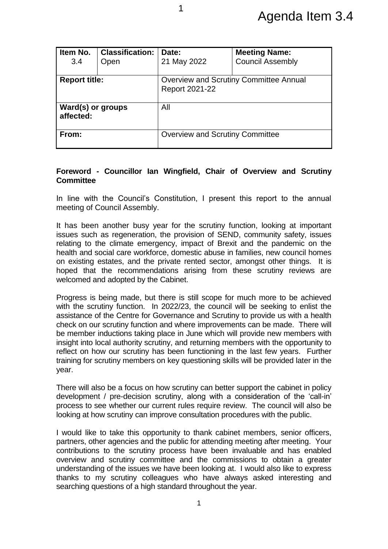| Item No.<br>3.4                | <b>Classification:</b><br>Open | Date:<br>21 May 2022                                            | <b>Meeting Name:</b><br><b>Council Assembly</b> |  |
|--------------------------------|--------------------------------|-----------------------------------------------------------------|-------------------------------------------------|--|
| <b>Report title:</b>           |                                | <b>Overview and Scrutiny Committee Annual</b><br>Report 2021-22 |                                                 |  |
| Ward(s) or groups<br>affected: |                                | All                                                             |                                                 |  |
| From:                          |                                | <b>Overview and Scrutiny Committee</b>                          |                                                 |  |

# **Foreword - Councillor Ian Wingfield, Chair of Overview and Scrutiny Committee**

In line with the Council's Constitution, I present this report to the annual meeting of Council Assembly.

It has been another busy year for the scrutiny function, looking at important issues such as regeneration, the provision of SEND, community safety, issues relating to the climate emergency, impact of Brexit and the pandemic on the health and social care workforce, domestic abuse in families, new council homes on existing estates, and the private rented sector, amongst other things. It is hoped that the recommendations arising from these scrutiny reviews are welcomed and adopted by the Cabinet.

Progress is being made, but there is still scope for much more to be achieved with the scrutiny function. In 2022/23, the council will be seeking to enlist the assistance of the Centre for Governance and Scrutiny to provide us with a health check on our scrutiny function and where improvements can be made. There will be member inductions taking place in June which will provide new members with insight into local authority scrutiny, and returning members with the opportunity to reflect on how our scrutiny has been functioning in the last few years. Further training for scrutiny members on key questioning skills will be provided later in the year.

There will also be a focus on how scrutiny can better support the cabinet in policy development / pre-decision scrutiny, along with a consideration of the 'call-in' process to see whether our current rules require review. The council will also be looking at how scrutiny can improve consultation procedures with the public.

I would like to take this opportunity to thank cabinet members, senior officers, partners, other agencies and the public for attending meeting after meeting. Your contributions to the scrutiny process have been invaluable and has enabled overview and scrutiny committee and the commissions to obtain a greater understanding of the issues we have been looking at. I would also like to express thanks to my scrutiny colleagues who have always asked interesting and searching questions of a high standard throughout the year.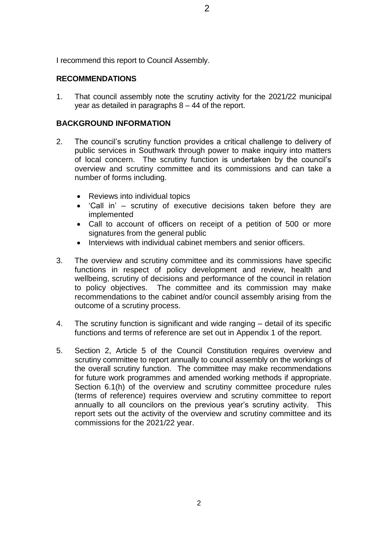# **RECOMMENDATIONS**

1. That council assembly note the scrutiny activity for the 2021/22 municipal year as detailed in paragraphs 8 – 44 of the report.

# **BACKGROUND INFORMATION**

- 2. The council's scrutiny function provides a critical challenge to delivery of public services in Southwark through power to make inquiry into matters of local concern. The scrutiny function is undertaken by the council's overview and scrutiny committee and its commissions and can take a number of forms including.
	- Reviews into individual topics
	- 'Call in' scrutiny of executive decisions taken before they are implemented
	- Call to account of officers on receipt of a petition of 500 or more signatures from the general public
	- Interviews with individual cabinet members and senior officers.
- 3. The overview and scrutiny committee and its commissions have specific functions in respect of policy development and review, health and wellbeing, scrutiny of decisions and performance of the council in relation to policy objectives. The committee and its commission may make recommendations to the cabinet and/or council assembly arising from the outcome of a scrutiny process.
- 4. The scrutiny function is significant and wide ranging detail of its specific functions and terms of reference are set out in Appendix 1 of the report.
- 5. Section 2, Article 5 of the Council Constitution requires overview and scrutiny committee to report annually to council assembly on the workings of the overall scrutiny function. The committee may make recommendations for future work programmes and amended working methods if appropriate. Section 6.1(h) of the overview and scrutiny committee procedure rules (terms of reference) requires overview and scrutiny committee to report annually to all councilors on the previous year's scrutiny activity. This report sets out the activity of the overview and scrutiny committee and its commissions for the 2021/22 year.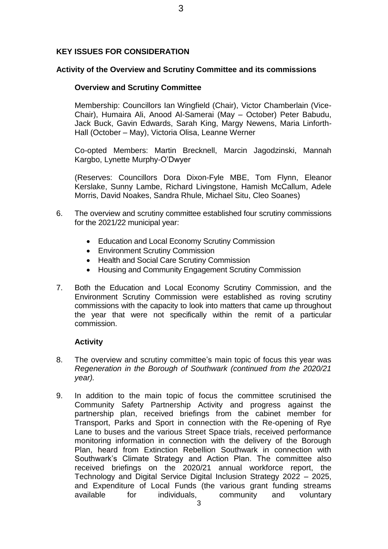# **KEY ISSUES FOR CONSIDERATION**

## **Activity of the Overview and Scrutiny Committee and its commissions**

## **Overview and Scrutiny Committee**

Membership: Councillors Ian Wingfield (Chair), Victor Chamberlain (Vice-Chair), Humaira Ali, Anood Al-Samerai (May – October) Peter Babudu, Jack Buck, Gavin Edwards, Sarah King, Margy Newens, Maria Linforth-Hall (October – May), Victoria Olisa, Leanne Werner

Co-opted Members: Martin Brecknell, Marcin Jagodzinski, Mannah Kargbo, Lynette Murphy-O'Dwyer

(Reserves: Councillors Dora Dixon-Fyle MBE, Tom Flynn, Eleanor Kerslake, Sunny Lambe, Richard Livingstone, Hamish McCallum, Adele Morris, David Noakes, Sandra Rhule, Michael Situ, Cleo Soanes)

- 6. The overview and scrutiny committee established four scrutiny commissions for the 2021/22 municipal year:
	- Education and Local Economy Scrutiny Commission
	- Environment Scrutiny Commission
	- Health and Social Care Scrutiny Commission
	- Housing and Community Engagement Scrutiny Commission
- 7. Both the Education and Local Economy Scrutiny Commission, and the Environment Scrutiny Commission were established as roving scrutiny commissions with the capacity to look into matters that came up throughout the year that were not specifically within the remit of a particular commission.

## **Activity**

- 8. The overview and scrutiny committee's main topic of focus this year was *Regeneration in the Borough of Southwark (continued from the 2020/21 year).*
- 9. In addition to the main topic of focus the committee scrutinised the Community Safety Partnership Activity and progress against the partnership plan, received briefings from the cabinet member for Transport, Parks and Sport in connection with the Re-opening of Rye Lane to buses and the various Street Space trials, received performance monitoring information in connection with the delivery of the Borough Plan, heard from Extinction Rebellion Southwark in connection with Southwark's Climate Strategy and Action Plan. The committee also received briefings on the 2020/21 annual workforce report, the Technology and Digital Service Digital Inclusion Strategy 2022 – 2025, and Expenditure of Local Funds (the various grant funding streams available for individuals, community and voluntary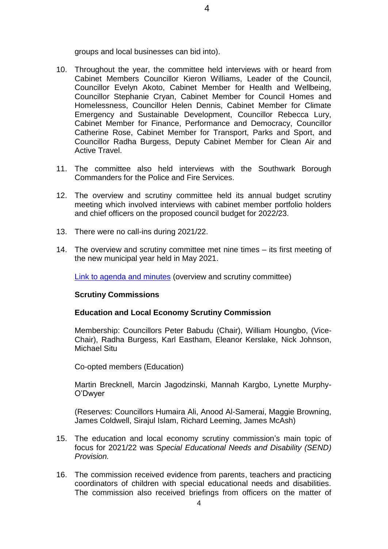groups and local businesses can bid into).

- 10. Throughout the year, the committee held interviews with or heard from Cabinet Members Councillor Kieron Williams, Leader of the Council, Councillor Evelyn Akoto, Cabinet Member for Health and Wellbeing, Councillor Stephanie Cryan, Cabinet Member for Council Homes and Homelessness, Councillor Helen Dennis, Cabinet Member for Climate Emergency and Sustainable Development, Councillor Rebecca Lury, Cabinet Member for Finance, Performance and Democracy, Councillor Catherine Rose, Cabinet Member for Transport, Parks and Sport, and Councillor Radha Burgess, Deputy Cabinet Member for Clean Air and Active Travel.
- 11. The committee also held interviews with the Southwark Borough Commanders for the Police and Fire Services.
- 12. The overview and scrutiny committee held its annual budget scrutiny meeting which involved interviews with cabinet member portfolio holders and chief officers on the proposed council budget for 2022/23.
- 13. There were no call-ins during 2021/22.
- 14. The overview and scrutiny committee met nine times its first meeting of the new municipal year held in May 2021.

[Link to agenda and minutes](http://moderngov.southwark.gov.uk/ieListMeetings.aspx?CommitteeId=308) (overview and scrutiny committee)

#### **Scrutiny Commissions**

## **Education and Local Economy Scrutiny Commission**

Membership: Councillors Peter Babudu (Chair), William Houngbo, (Vice-Chair), Radha Burgess, Karl Eastham, Eleanor Kerslake, Nick Johnson, Michael Situ

Co-opted members (Education)

Martin Brecknell, Marcin Jagodzinski, Mannah Kargbo, Lynette Murphy-O'Dwyer

(Reserves: Councillors Humaira Ali, Anood Al-Samerai, Maggie Browning, James Coldwell, Sirajul Islam, Richard Leeming, James McAsh)

- 15. The education and local economy scrutiny commission's main topic of focus for 2021/22 was S*pecial Educational Needs and Disability (SEND) Provision.*
- 16. The commission received evidence from parents, teachers and practicing coordinators of children with special educational needs and disabilities. The commission also received briefings from officers on the matter of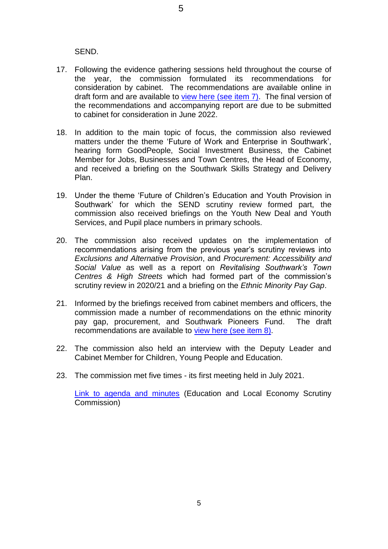SEND.

17. Following the evidence gathering sessions held throughout the course of the year, the commission formulated its recommendations for consideration by cabinet. The recommendations are available online in draft form and are available to view here [\(see item 7\).](https://moderngov.southwark.gov.uk/ieListDocuments.aspx?CId=550&MId=7012&Ver=4) The final version of the recommendations and accompanying report are due to be submitted to cabinet for consideration in June 2022.

5

- 18. In addition to the main topic of focus, the commission also reviewed matters under the theme 'Future of Work and Enterprise in Southwark', hearing form GoodPeople, Social Investment Business, the Cabinet Member for Jobs, Businesses and Town Centres, the Head of Economy, and received a briefing on the Southwark Skills Strategy and Delivery Plan.
- 19. Under the theme 'Future of Children's Education and Youth Provision in Southwark' for which the SEND scrutiny review formed part, the commission also received briefings on the Youth New Deal and Youth Services, and Pupil place numbers in primary schools.
- 20. The commission also received updates on the implementation of recommendations arising from the previous year's scrutiny reviews into *Exclusions and Alternative Provision*, and *Procurement: Accessibility and Social Value* as well as a report on *Revitalising Southwark's Town Centres & High Streets* which had formed part of the commission's scrutiny review in 2020/21 and a briefing on the *Ethnic Minority Pay Gap*.
- 21. Informed by the briefings received from cabinet members and officers, the commission made a number of recommendations on the ethnic minority pay gap, procurement, and Southwark Pioneers Fund. The draft recommendations are available to [view here \(see item 8\).](https://moderngov.southwark.gov.uk/ieListDocuments.aspx?CId=550&MId=7012&Ver=4)
- 22. The commission also held an interview with the Deputy Leader and Cabinet Member for Children, Young People and Education.
- 23. The commission met five times its first meeting held in July 2021.

[Link to agenda and minutes](https://moderngov.southwark.gov.uk/ieListMeetings.aspx?CommitteeId=550) (Education and Local Economy Scrutiny Commission)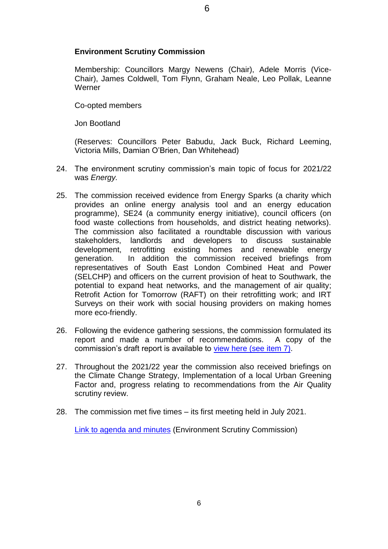# **Environment Scrutiny Commission**

Membership: Councillors Margy Newens (Chair), Adele Morris (Vice-Chair), James Coldwell, Tom Flynn, Graham Neale, Leo Pollak, Leanne **Werner** 

Co-opted members

Jon Bootland

(Reserves: Councillors Peter Babudu, Jack Buck, Richard Leeming, Victoria Mills, Damian O'Brien, Dan Whitehead)

- 24. The environment scrutiny commission's main topic of focus for 2021/22 was *Energy.*
- 25. The commission received evidence from Energy Sparks (a charity which provides an online energy analysis tool and an energy education programme), SE24 (a community energy initiative), council officers (on food waste collections from households, and district heating networks). The commission also facilitated a roundtable discussion with various stakeholders, landlords and developers to discuss sustainable development, retrofitting existing homes and renewable energy generation. In addition the commission received briefings from representatives of South East London Combined Heat and Power (SELCHP) and officers on the current provision of heat to Southwark, the potential to expand heat networks, and the management of air quality; Retrofit Action for Tomorrow (RAFT) on their retrofitting work; and IRT Surveys on their work with social housing providers on making homes more eco-friendly.
- 26. Following the evidence gathering sessions, the commission formulated its report and made a number of recommendations. A copy of the commission's draft report is available to [view here \(see item 7\).](https://moderngov.southwark.gov.uk/ieListDocuments.aspx?CId=517&MId=7036&Ver=4)
- 27. Throughout the 2021/22 year the commission also received briefings on the Climate Change Strategy, Implementation of a local Urban Greening Factor and, progress relating to recommendations from the Air Quality scrutiny review.
- 28. The commission met five times its first meeting held in July 2021.

[Link to agenda and minutes](http://moderngov.southwark.gov.uk/ieListMeetings.aspx?CommitteeId=517) (Environment Scrutiny Commission)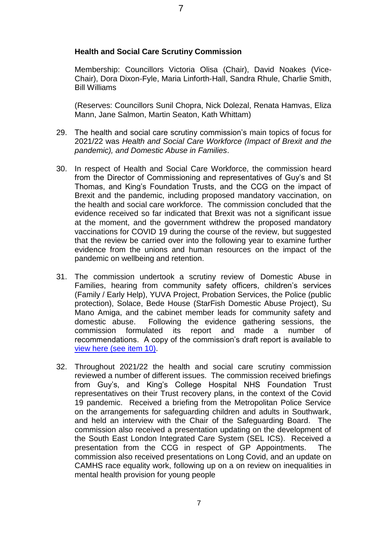## **Health and Social Care Scrutiny Commission**

Membership: Councillors Victoria Olisa (Chair), David Noakes (Vice-Chair), Dora Dixon-Fyle, Maria Linforth-Hall, Sandra Rhule, Charlie Smith, Bill Williams

(Reserves: Councillors Sunil Chopra, Nick Dolezal, Renata Hamvas, Eliza Mann, Jane Salmon, Martin Seaton, Kath Whittam)

- 29. The health and social care scrutiny commission's main topics of focus for 2021/22 was *Health and Social Care Workforce (Impact of Brexit and the pandemic), and Domestic Abuse in Families*.
- 30. In respect of Health and Social Care Workforce, the commission heard from the Director of Commissioning and representatives of Guy's and St Thomas, and King's Foundation Trusts, and the CCG on the impact of Brexit and the pandemic, including proposed mandatory vaccination, on the health and social care workforce. The commission concluded that the evidence received so far indicated that Brexit was not a significant issue at the moment, and the government withdrew the proposed mandatory vaccinations for COVID 19 during the course of the review, but suggested that the review be carried over into the following year to examine further evidence from the unions and human resources on the impact of the pandemic on wellbeing and retention.
- 31. The commission undertook a scrutiny review of Domestic Abuse in Families, hearing from community safety officers, children's services (Family / Early Help), YUVA Project, Probation Services, the Police (public protection), Solace, Bede House (StarFish Domestic Abuse Project), Su Mano Amiga, and the cabinet member leads for community safety and domestic abuse. Following the evidence gathering sessions, the commission formulated its report and made a number of recommendations. A copy of the commission's draft report is available to [view here \(see item 10\).](https://moderngov.southwark.gov.uk/ieListDocuments.aspx?CId=519&MId=7026&Ver=4)
- 32. Throughout 2021/22 the health and social care scrutiny commission reviewed a number of different issues. The commission received briefings from Guy's, and King's College Hospital NHS Foundation Trust representatives on their Trust recovery plans, in the context of the Covid 19 pandemic. Received a briefing from the Metropolitan Police Service on the arrangements for safeguarding children and adults in Southwark, and held an interview with the Chair of the Safeguarding Board. The commission also received a presentation updating on the development of the South East London Integrated Care System (SEL ICS). Received a presentation from the CCG in respect of GP Appointments. The commission also received presentations on Long Covid, and an update on CAMHS race equality work, following up on a on review on inequalities in mental health provision for young people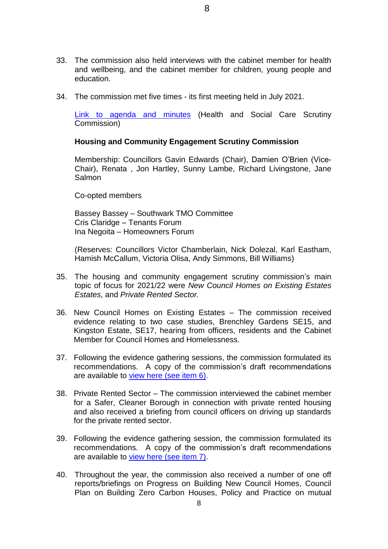- 33. The commission also held interviews with the cabinet member for health and wellbeing, and the cabinet member for children, young people and education.
- 34. The commission met five times its first meeting held in July 2021.

[Link to agenda and minutes](http://moderngov.southwark.gov.uk/ieListMeetings.aspx?CommitteeId=519) (Health and Social Care Scrutiny Commission)

# **Housing and Community Engagement Scrutiny Commission**

Membership: Councillors Gavin Edwards (Chair), Damien O'Brien (Vice-Chair), Renata , Jon Hartley, Sunny Lambe, Richard Livingstone, Jane Salmon

Co-opted members

Bassey Bassey – Southwark TMO Committee Cris Claridge – Tenants Forum Ina Negoita – Homeowners Forum

(Reserves: Councillors Victor Chamberlain, Nick Dolezal, Karl Eastham, Hamish McCallum, Victoria Olisa, Andy Simmons, Bill Williams)

- 35. The housing and community engagement scrutiny commission's main topic of focus for 2021/22 were *New Council Homes on Existing Estates Estates*, and *Private Rented Sector.*
- 36. New Council Homes on Existing Estates The commission received evidence relating to two case studies, Brenchley Gardens SE15, and Kingston Estate, SE17, hearing from officers, residents and the Cabinet Member for Council Homes and Homelessness.
- 37. Following the evidence gathering sessions, the commission formulated its recommendations. A copy of the commission's draft recommendations are available to [view here \(see item 6\).](https://moderngov.southwark.gov.uk/ieListDocuments.aspx?CId=551&MId=7031&Ver=4)
- 38. Private Rented Sector The commission interviewed the cabinet member for a Safer, Cleaner Borough in connection with private rented housing and also received a briefing from council officers on driving up standards for the private rented sector.
- 39. Following the evidence gathering session, the commission formulated its recommendations. A copy of the commission's draft recommendations are available to [view here \(see item 7\).](https://moderngov.southwark.gov.uk/ieListDocuments.aspx?CId=551&MId=7031&Ver=4)
- 40. Throughout the year, the commission also received a number of one off reports/briefings on Progress on Building New Council Homes, Council Plan on Building Zero Carbon Houses, Policy and Practice on mutual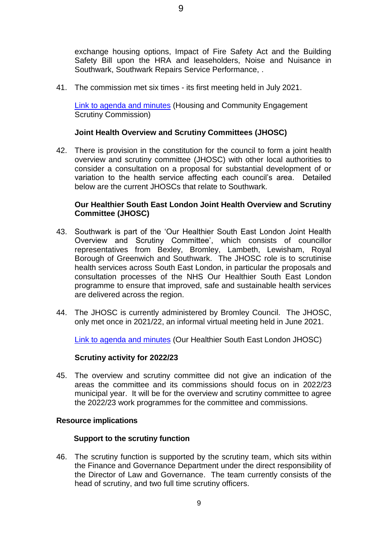exchange housing options, Impact of Fire Safety Act and the Building Safety Bill upon the HRA and leaseholders, Noise and Nuisance in Southwark, Southwark Repairs Service Performance, .

41. The commission met six times - its first meeting held in July 2021.

[Link to agenda and minutes](https://moderngov.southwark.gov.uk/ieListMeetings.aspx?CommitteeId=551) (Housing and Community Engagement Scrutiny Commission)

# **Joint Health Overview and Scrutiny Committees (JHOSC)**

42. There is provision in the constitution for the council to form a joint health overview and scrutiny committee (JHOSC) with other local authorities to consider a consultation on a proposal for substantial development of or variation to the health service affecting each council's area. Detailed below are the current JHOSCs that relate to Southwark.

# **Our Healthier South East London Joint Health Overview and Scrutiny Committee (JHOSC)**

- 43. Southwark is part of the 'Our Healthier South East London Joint Health Overview and Scrutiny Committee', which consists of councillor representatives from Bexley, Bromley, Lambeth, Lewisham, Royal Borough of Greenwich and Southwark. The JHOSC role is to scrutinise health services across South East London, in particular the proposals and consultation processes of the NHS Our Healthier South East London programme to ensure that improved, safe and sustainable health services are delivered across the region.
- 44. The JHOSC is currently administered by Bromley Council. The JHOSC, only met once in 2021/22, an informal virtual meeting held in June 2021.

[Link to agenda and minutes](https://cds.bromley.gov.uk/ieListMeetings.aspx?CId=714&Year=0) (Our Healthier South East London JHOSC)

## **Scrutiny activity for 2022/23**

45. The overview and scrutiny committee did not give an indication of the areas the committee and its commissions should focus on in 2022/23 municipal year. It will be for the overview and scrutiny committee to agree the 2022/23 work programmes for the committee and commissions.

## **Resource implications**

## **Support to the scrutiny function**

46. The scrutiny function is supported by the scrutiny team, which sits within the Finance and Governance Department under the direct responsibility of the Director of Law and Governance. The team currently consists of the head of scrutiny, and two full time scrutiny officers.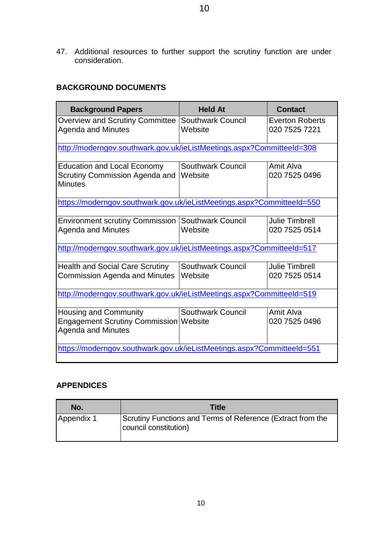47. Additional resources to further support the scrutiny function are under consideration.

# **BACKGROUND DOCUMENTS**

| <b>Background Papers</b>                                                                              | <b>Held At</b>                      | <b>Contact</b>                          |  |  |  |  |
|-------------------------------------------------------------------------------------------------------|-------------------------------------|-----------------------------------------|--|--|--|--|
| <b>Overview and Scrutiny Committee</b><br><b>Agenda and Minutes</b>                                   | <b>Southwark Council</b><br>Website | <b>Everton Roberts</b><br>020 7525 7221 |  |  |  |  |
| http://moderngov.southwark.gov.uk/ieListMeetings.aspx?CommitteeId=308                                 |                                     |                                         |  |  |  |  |
| <b>Education and Local Economy</b><br>Scrutiny Commission Agenda and<br><b>Minutes</b>                | <b>Southwark Council</b><br>Website | Amit Alva<br>020 7525 0496              |  |  |  |  |
| https://moderngov.southwark.gov.uk/ieListMeetings.aspx?CommitteeId=550                                |                                     |                                         |  |  |  |  |
| <b>Environment scrutiny Commission Southwark Council</b><br><b>Agenda and Minutes</b>                 | Website                             | <b>Julie Timbrell</b><br>020 7525 0514  |  |  |  |  |
| http://moderngov.southwark.gov.uk/ieListMeetings.aspx?CommitteeId=517                                 |                                     |                                         |  |  |  |  |
| <b>Health and Social Care Scrutiny</b><br><b>Commission Agenda and Minutes</b>                        | <b>Southwark Council</b><br>Website | <b>Julie Timbrell</b><br>020 7525 0514  |  |  |  |  |
| http://moderngov.southwark.gov.uk/ieListMeetings.aspx?CommitteeId=519                                 |                                     |                                         |  |  |  |  |
| <b>Housing and Community</b><br>Engagement Scrutiny Commission   Website<br><b>Agenda and Minutes</b> | <b>Southwark Council</b>            | Amit Alva<br>020 7525 0496              |  |  |  |  |
| https://moderngov.southwark.gov.uk/ieListMeetings.aspx?CommitteeId=551                                |                                     |                                         |  |  |  |  |

# **APPENDICES**

| No.        | <b>Title</b>                                                                         |
|------------|--------------------------------------------------------------------------------------|
| Appendix 1 | Scrutiny Functions and Terms of Reference (Extract from the<br>council constitution) |

10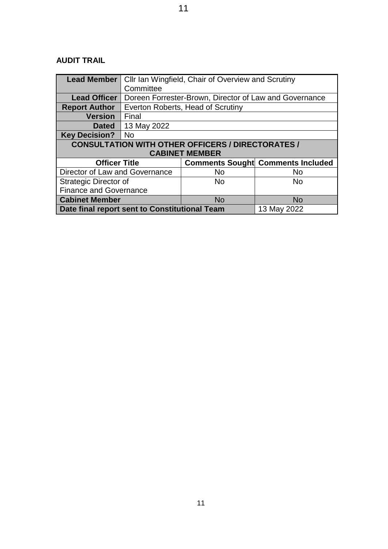# **AUDIT TRAIL**

| <b>Lead Member</b>                                           | Cllr Ian Wingfield, Chair of Overview and Scrutiny     |           |                                          |  |  |  |
|--------------------------------------------------------------|--------------------------------------------------------|-----------|------------------------------------------|--|--|--|
|                                                              | Committee                                              |           |                                          |  |  |  |
| <b>Lead Officer</b>                                          | Doreen Forrester-Brown, Director of Law and Governance |           |                                          |  |  |  |
| <b>Report Author</b>                                         | Everton Roberts, Head of Scrutiny                      |           |                                          |  |  |  |
| <b>Version</b>                                               | Final                                                  |           |                                          |  |  |  |
| <b>Dated</b>                                                 | 13 May 2022                                            |           |                                          |  |  |  |
| <b>Key Decision?</b>                                         | <b>No</b>                                              |           |                                          |  |  |  |
| <b>CONSULTATION WITH OTHER OFFICERS / DIRECTORATES /</b>     |                                                        |           |                                          |  |  |  |
| <b>CABINET MEMBER</b>                                        |                                                        |           |                                          |  |  |  |
| <b>Officer Title</b>                                         |                                                        |           | <b>Comments Sought Comments Included</b> |  |  |  |
| Director of Law and Governance                               |                                                        | No.       | No                                       |  |  |  |
| Strategic Director of                                        |                                                        | <b>No</b> | <b>No</b>                                |  |  |  |
| <b>Finance and Governance</b>                                |                                                        |           |                                          |  |  |  |
| <b>Cabinet Member</b>                                        |                                                        | <b>No</b> | <b>No</b>                                |  |  |  |
| Date final report sent to Constitutional Team<br>13 May 2022 |                                                        |           |                                          |  |  |  |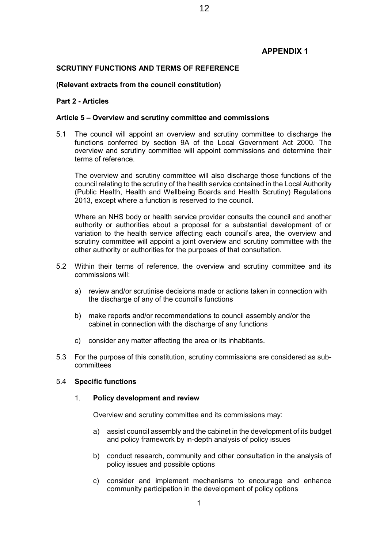# **APPENDIX 1**

## **SCRUTINY FUNCTIONS AND TERMS OF REFERENCE**

## **(Relevant extracts from the council constitution)**

## **Part 2 - Articles**

## **Article 5 – Overview and scrutiny committee and commissions**

5.1 The council will appoint an overview and scrutiny committee to discharge the functions conferred by section 9A of the Local Government Act 2000. The overview and scrutiny committee will appoint commissions and determine their terms of reference.

The overview and scrutiny committee will also discharge those functions of the council relating to the scrutiny of the health service contained in the Local Authority (Public Health, Health and Wellbeing Boards and Health Scrutiny) Regulations 2013, except where a function is reserved to the council.

Where an NHS body or health service provider consults the council and another authority or authorities about a proposal for a substantial development of or variation to the health service affecting each council's area, the overview and scrutiny committee will appoint a joint overview and scrutiny committee with the other authority or authorities for the purposes of that consultation.

- 5.2 Within their terms of reference, the overview and scrutiny committee and its commissions will:
	- a) review and/or scrutinise decisions made or actions taken in connection with the discharge of any of the council's functions
	- b) make reports and/or recommendations to council assembly and/or the cabinet in connection with the discharge of any functions
	- c) consider any matter affecting the area or its inhabitants.
- 5.3 For the purpose of this constitution, scrutiny commissions are considered as subcommittees

## 5.4 **Specific functions**

## 1. **Policy development and review**

Overview and scrutiny committee and its commissions may:

- a) assist council assembly and the cabinet in the development of its budget and policy framework by in-depth analysis of policy issues
- b) conduct research, community and other consultation in the analysis of policy issues and possible options
- c) consider and implement mechanisms to encourage and enhance community participation in the development of policy options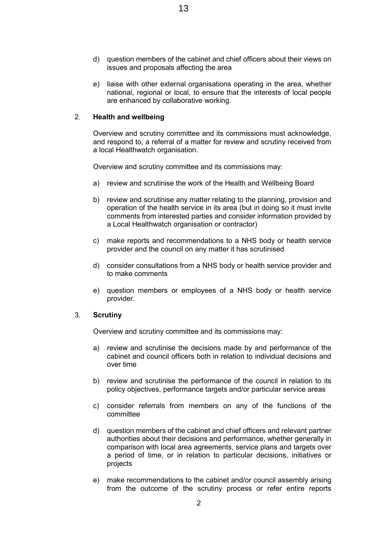- d) question members of the cabinet and chief officers about their views on issues and proposals affecting the area
- e) liaise with other external organisations operating in the area, whether national, regional or local, to ensure that the interests of local people are enhanced by collaborative working.

## 2. **Health and wellbeing**

Overview and scrutiny committee and its commissions must acknowledge, and respond to, a referral of a matter for review and scrutiny received from a local Healthwatch organisation.

Overview and scrutiny committee and its commissions may:

- a) review and scrutinise the work of the Health and Wellbeing Board
- b) review and scrutinise any matter relating to the planning, provision and operation of the health service in its area (but in doing so it must invite comments from interested parties and consider information provided by a Local Healthwatch organisation or contractor)
- c) make reports and recommendations to a NHS body or health service provider and the council on any matter it has scrutinised
- d) consider consultations from a NHS body or health service provider and to make comments
- e) question members or employees of a NHS body or health service provider.

## 3. **Scrutiny**

Overview and scrutiny committee and its commissions may:

- a) review and scrutinise the decisions made by and performance of the cabinet and council officers both in relation to individual decisions and over time
- b) review and scrutinise the performance of the council in relation to its policy objectives, performance targets and/or particular service areas
- c) consider referrals from members on any of the functions of the committee
- d) question members of the cabinet and chief officers and relevant partner authorities about their decisions and performance, whether generally in comparison with local area agreements, service plans and targets over a period of time, or in relation to particular decisions, initiatives or projects
- e) make recommendations to the cabinet and/or council assembly arising from the outcome of the scrutiny process or refer entire reports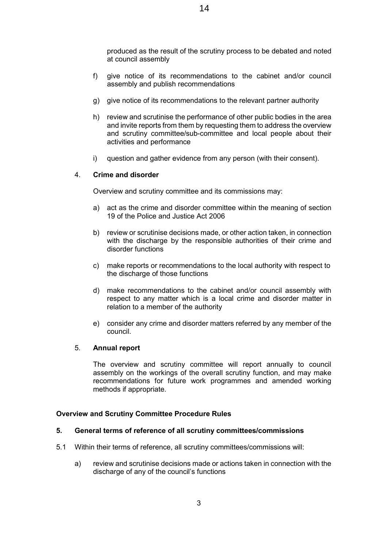produced as the result of the scrutiny process to be debated and noted at council assembly

- f) give notice of its recommendations to the cabinet and/or council assembly and publish recommendations
- g) give notice of its recommendations to the relevant partner authority
- h) review and scrutinise the performance of other public bodies in the area and invite reports from them by requesting them to address the overview and scrutiny committee/sub-committee and local people about their activities and performance
- i) question and gather evidence from any person (with their consent).

## 4. **Crime and disorder**

Overview and scrutiny committee and its commissions may:

- a) act as the crime and disorder committee within the meaning of section 19 of the Police and Justice Act 2006
- b) review or scrutinise decisions made, or other action taken, in connection with the discharge by the responsible authorities of their crime and disorder functions
- c) make reports or recommendations to the local authority with respect to the discharge of those functions
- d) make recommendations to the cabinet and/or council assembly with respect to any matter which is a local crime and disorder matter in relation to a member of the authority
- e) consider any crime and disorder matters referred by any member of the council.

## 5. **Annual report**

The overview and scrutiny committee will report annually to council assembly on the workings of the overall scrutiny function, and may make recommendations for future work programmes and amended working methods if appropriate.

## **Overview and Scrutiny Committee Procedure Rules**

## **5. General terms of reference of all scrutiny committees/commissions**

- 5.1 Within their terms of reference, all scrutiny committees/commissions will:
	- a) review and scrutinise decisions made or actions taken in connection with the discharge of any of the council's functions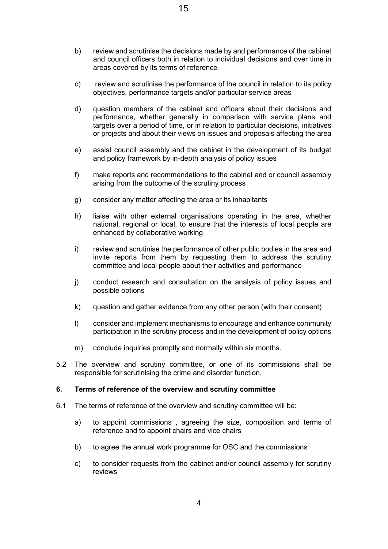- b) review and scrutinise the decisions made by and performance of the cabinet and council officers both in relation to individual decisions and over time in areas covered by its terms of reference
- c) review and scrutinise the performance of the council in relation to its policy objectives, performance targets and/or particular service areas
- d) question members of the cabinet and officers about their decisions and performance, whether generally in comparison with service plans and targets over a period of time, or in relation to particular decisions, initiatives or projects and about their views on issues and proposals affecting the area
- e) assist council assembly and the cabinet in the development of its budget and policy framework by in-depth analysis of policy issues
- f) make reports and recommendations to the cabinet and or council assembly arising from the outcome of the scrutiny process
- g) consider any matter affecting the area or its inhabitants
- h) liaise with other external organisations operating in the area, whether national, regional or local, to ensure that the interests of local people are enhanced by collaborative working
- i) review and scrutinise the performance of other public bodies in the area and invite reports from them by requesting them to address the scrutiny committee and local people about their activities and performance
- j) conduct research and consultation on the analysis of policy issues and possible options
- k) question and gather evidence from any other person (with their consent)
- l) consider and implement mechanisms to encourage and enhance community participation in the scrutiny process and in the development of policy options
- m) conclude inquiries promptly and normally within six months.
- 5.2 The overview and scrutiny committee, or one of its commissions shall be responsible for scrutinising the crime and disorder function.

## **6. Terms of reference of the overview and scrutiny committee**

- 6.1 The terms of reference of the overview and scrutiny committee will be:
	- a) to appoint commissions , agreeing the size, composition and terms of reference and to appoint chairs and vice chairs
	- b) to agree the annual work programme for OSC and the commissions
	- c) to consider requests from the cabinet and/or council assembly for scrutiny reviews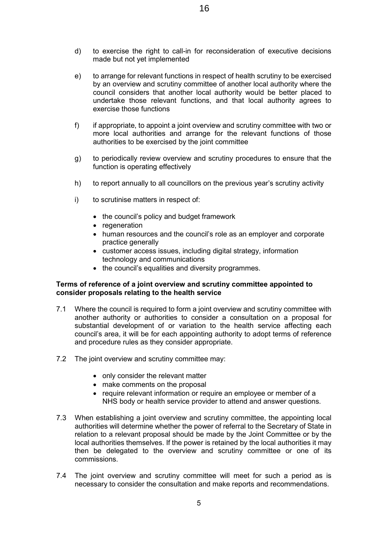- d) to exercise the right to call-in for reconsideration of executive decisions made but not yet implemented
- e) to arrange for relevant functions in respect of health scrutiny to be exercised by an overview and scrutiny committee of another local authority where the council considers that another local authority would be better placed to undertake those relevant functions, and that local authority agrees to exercise those functions
- f) if appropriate, to appoint a joint overview and scrutiny committee with two or more local authorities and arrange for the relevant functions of those authorities to be exercised by the joint committee
- g) to periodically review overview and scrutiny procedures to ensure that the function is operating effectively
- h) to report annually to all councillors on the previous year's scrutiny activity
- i) to scrutinise matters in respect of:
	- the council's policy and budget framework
	- regeneration
	- human resources and the council's role as an employer and corporate practice generally
	- customer access issues, including digital strategy, information technology and communications
	- the council's equalities and diversity programmes.

#### **Terms of reference of a joint overview and scrutiny committee appointed to consider proposals relating to the health service**

- 7.1 Where the council is required to form a joint overview and scrutiny committee with another authority or authorities to consider a consultation on a proposal for substantial development of or variation to the health service affecting each council's area, it will be for each appointing authority to adopt terms of reference and procedure rules as they consider appropriate.
- 7.2 The joint overview and scrutiny committee may:
	- only consider the relevant matter
	- make comments on the proposal
	- require relevant information or require an employee or member of a NHS body or health service provider to attend and answer questions.
- 7.3 When establishing a joint overview and scrutiny committee, the appointing local authorities will determine whether the power of referral to the Secretary of State in relation to a relevant proposal should be made by the Joint Committee or by the local authorities themselves. If the power is retained by the local authorities it may then be delegated to the overview and scrutiny committee or one of its commissions.
- 7.4 The joint overview and scrutiny committee will meet for such a period as is necessary to consider the consultation and make reports and recommendations.